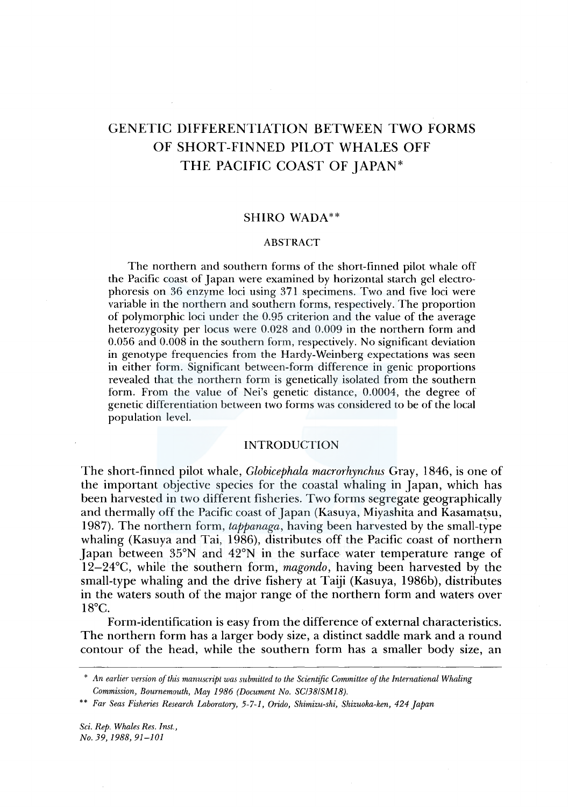# GENETIC DIFFERENTIATION BETWEEN TWO FORMS OF SHORT-FINNED PILOT WHALES OFF THE PACIFIC COAST OF JAPAN\*

# SHIRO WADA\*\*

## ABSTRACT

The northern and southern forms of the short-finned pilot whale off the Pacific coast of Japan were examined by horizontal starch gel electrophoresis on 36 enzyme loci using 371 specimens. Two and five loci were variable in the northern and southern forms, respectively. The proportion of polymorphic loci under the 0.95 criterion and the value of the average heterozygosity per locus were 0.028 and 0.009 in the northern form and 0.056 and 0.008 in the southern form, respectively. No significant deviation in genotype frequencies from the Hardy-Weinberg expectations was seen in either form. Significant between-form difference in genie proportions revealed that the northern form is genetically isolated from the southern form. From the value of Nei's genetic distance, 0.0004, the degree of genetic differentiation between two forms was considered to be of the local population level.

## INTRODUCTION

The short-finned pilot whale, *Globicephala macrorhynchus* Gray, 1846, is one of the important objective species for the coastal whaling in Japan, which has been harvested in two different fisheries. Two forms segregate geographically and thermally off the Pacific coast of Japan (Kasuya, Miyashita and Kasamatsu, 1987). The northern form, *tappanaga,* having been harvested by the small-type whaling (Kasuya and Tai, 1986), distributes off the Pacific coast of northern Japan between 35°N and 42°N in the surface water temperature range of 12-24°C, while the southern form, *magondo,* having been harvested by the small-type whaling and the drive fishery at Taiji (Kasuya, l 986b), distributes in the waters south of the major range of the northern form and waters over 18°C.

Form-identification is easy from the difference of external characteristics. The northern form has a larger body size, a distinct saddle mark and a round contour of the head, while the southern form has a smaller body size, an

<sup>\*</sup> *An earlier version of this manuscript was submitted to the Scientific Committee of the International Whaling Commission, Bournemouth, May 1986 (Document No. SC/38/SM18).* 

<sup>\*\*</sup> *Far Seas Fisheries Research Laboratory, 5-7-1, Orido, Shimizu-ski, Shizuoka-ken, 424 Japan*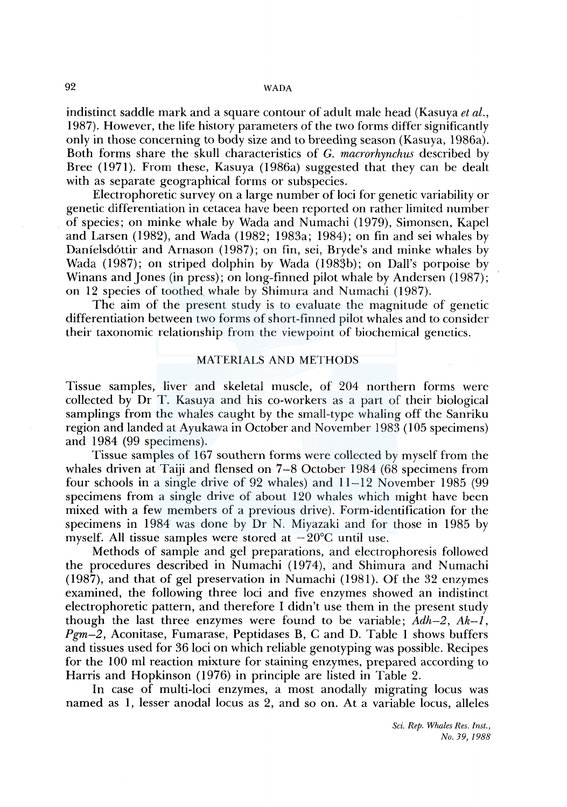## 92 WADA

indistinct saddle mark and a square contour of adult male head (Kasuya *et al.,*  1987). However, the life history parameters of the two forms differ significantly only in those concerning to body size and to breeding season (Kasuya, l 986a). Both forms share the skull characteristics of G. *macrorhynchus* described by Bree (1971). From these, Kasuya (1986a) suggested that they can be dealt with as separate geographical forms or subspecies.

Electrophoretic survey on a large number of loci for genetic variability or genetic differentiation in cetacea have been reported on rather limited number of species; on minke whale by Wada and Numachi (1979), Simonsen, Kapel and Larsen (1982), and Wada (1982; 1983a; 1984); on fin and sei whales by Danielsd6ttir and Amason (1987); on fin, sei, Bryde's and minke whales by Wada (1987); on striped dolphin by Wada (1983b); on Dall's porpoise by Winans and Jones (in press); on long-finned pilot whale by Andersen (1987); on 12 species of toothed. whale by Shimura and Numachi (1987).

The aim of the present study is to evaluate the magnitude of genetic differentiation between two forms of short-finned pilot whales and to consider their taxonomic relationship from the viewpoint of biochemical genetics.

# MATERIALS AND METHODS

Tissue samples, liver and skeletal muscle, of 204 northern forms were collected by Dr T. Kasuya and his co-workers as a part of their biological samplings from the whales caught by the small-type whaling off the Sanriku region and landed at Ayukawa in October and November 1983 ( 105 specimens) and 1984 (99 specimens).

Tissue samples of 167 southern forms were collected by myself from the whales driven at Taiji and flensed on 7-8 October 1984 (68 specimens from four schools in a single drive of 92 whales) and 11-12 November 1985 (99 specimens from a single drive of about 120 whales which might have been mixed with a few members of a previous drive). Form-identification for the specimens in 1984 was done by Dr N. Miyazaki and for those in 1985 by myself. All tissue samples were stored at  $-20^{\circ}$ C until use.

Methods of sample and gel preparations, and electrophoresis followed the procedures described in Numachi (1974), and Shimura and Numachi  $(1987)$ , and that of gel preservation in Numachi  $(1981)$ . Of the 32 enzymes examined, the following three loci and five enzymes showed an indistinct electrophoretic pattern, and therefore I didn't use them in the present study though the last three enzymes were found to be variable; *Adh-2, Ak-1, Pgm-2,* Aconitase, Fumarase, Peptidases B, C and D. Table 1 shows buffers and tissues used for 36 loci on which reliable genotyping was possible. Recipes for the 100 ml reaction mixture for staining enzymes, prepared according to Harris and Hopkinson (1976) in principle are listed in Table 2.

In case of multi-loci enzymes, a most anodally migrating locus was named as 1, lesser anodal locus as 2, and so on. At a variable locus, alleles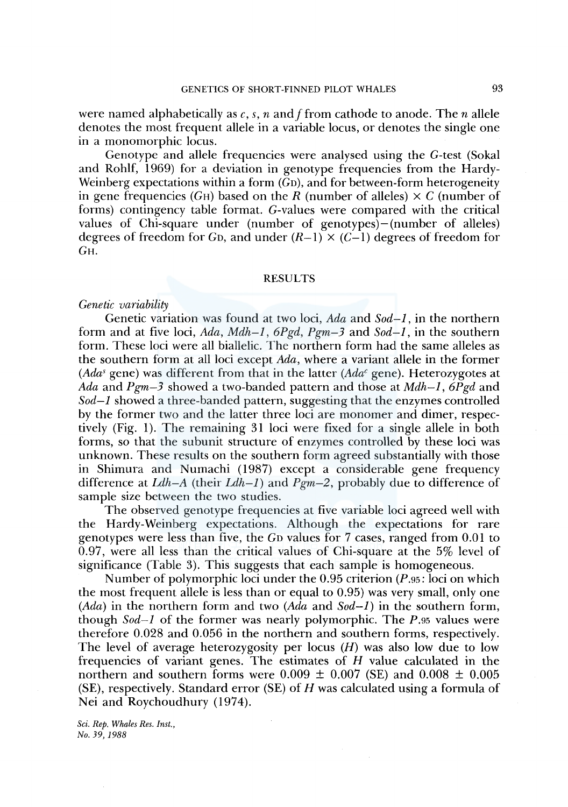were named alphabetically as c, s, n and f from cathode to anode. The *n* allele

denotes the most frequent allele in a variable locus, or denotes the single one in a monomorphic locus.

Genotype and allele frequencies were analysed using the G-test (Sokal and Rohlf, 1969) for a deviation in genotype frequencies from the Hardy-Weinberg expectations within a form  $(G_D)$ , and for between-form heterogeneity in gene frequencies (GH) based on the R (number of alleles)  $\times C$  (number of forms) contingency table format. G-values were compared with the critical values of Chi-square under (number of genotypes)-(number of alleles) degrees of freedom for G<sub>D</sub>, and under  $(R-1) \times (C-1)$  degrees of freedom for GH.

## **RESULTS**

## *Genetic variability*

Genetic variation was found at two loci, *Ada* and *Sod-I,* in the northern form and at five loci, *Ada, Mdh-1, 6Pgd, Pgm-3* and *Sod-I,* in the southern form. These loci were all biallelic. The northern form had the same alleles as the southern form at all loci except *Ada,* where a variant allele in the former *(Adas* gene) was different from that in the latter *(Adac* gene). Heterozygotes at *Ada* and *Pgm-3* showed a two-banded pattern and those at *Mdh-1, 6Pgd* and *Sod-I* showed a three-banded pattern, suggesting that the enzymes controlled by the former two and the latter three loci are monomer and dimer, respectively (Fig. 1). The remaining 31 loci were fixed for a single allele in both forms, so that the subunit structure of enzymes controlled by these loci was unknown. These results on the southern form agreed substantially with those in Shimura and Numachi (1987) except a considerable gene frequency difference at *Ldh-A* (their *Ldh-1)* and *Pgm-2,* probably due to difference of sample size between the two studies.

The observed genotype frequencies at five variable loci agreed well with the Hardy-Weinberg expectations. Although the expectations for rare genotypes were less than five, the Gn values for 7 cases, ranged from 0.01 to 0. 97, were all less than the critical values of Chi-square at the 5% level of significance (Table 3). This suggests that each sample is homogeneous.

Number of polymorphic loci under the 0.95 criterion *(P.95:* loci on which the most frequent allele is less than or equal to 0.95) was very small, only one *(Ada)* in the northern form and two *(Ada* and *Sod-I)* in the southern form, though *Sod-I* of the former was nearly polymorphic. The *P.95* values were therefore 0.028 and 0.056 in the northern and southern forms, respectively. The level of average heterozygosity per locus  $(H)$  was also low due to low frequencies of variant genes. The estimates of  $H$  value calculated in the northern and southern forms were  $0.009 \pm 0.007$  (SE) and  $0.008 \pm 0.005$  $(SE)$ , respectively. Standard error  $(SE)$  of H was calculated using a formula of Nei and Roychoudhury (1974).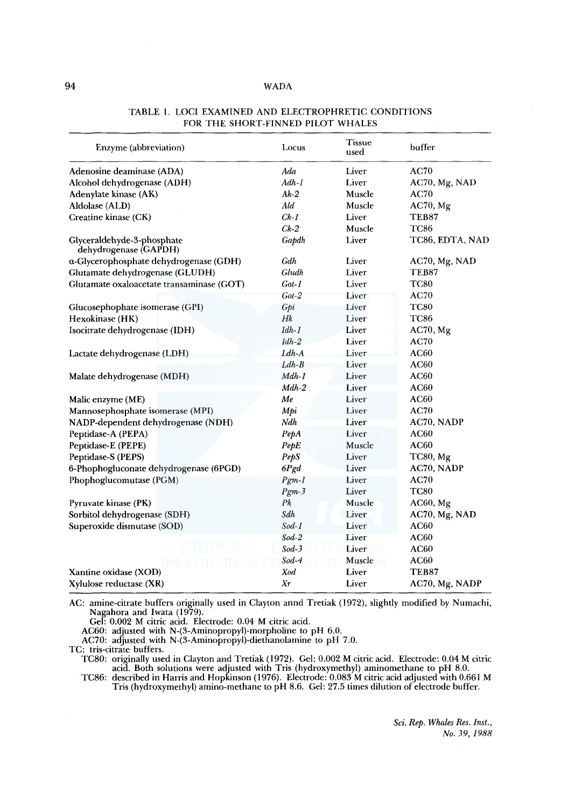## 94 WADA

| Enzyme (abbreviation)                               | Locus   | <b>Tissue</b><br>used | buffer          |
|-----------------------------------------------------|---------|-----------------------|-----------------|
| Adenosine deaminase (ADA)                           | Ada     | Liver                 | <b>AC70</b>     |
| Alcohol dehydrogenase (ADH)                         | $Adh-1$ | Liver                 | AC70, Mg, NAD   |
| Adenylate kinase (AK)                               | $Ak-2$  | Muscle                | AC70            |
| Aldolase (ALD)                                      | Ald     | Muscle                | $AC70$ , Mg     |
| Creatine kinase (CK)                                | $Ck-1$  | Liver                 | TEB87           |
|                                                     | $Ck-2$  | Muscle                | <b>TC86</b>     |
| Glyceraldehyde-3-phosphate<br>dehydrogenase (GAPDH) | Gapdh   | Liver                 | TC86, EDTA, NAD |
| a-Glycerophosphate dehydrogenase (GDH)              | Gdh     | Liver                 | AC70, Mg, NAD   |
| Glutamate dehydrogenase (GLUDH)                     | Gludh   | Liver                 | TEB87           |
| Glutamate oxaloacetate transaminase (GOT)           | Got-1   | Liver                 | <b>TC80</b>     |
|                                                     | $Got-2$ | Liver                 | <b>AC70</b>     |
| Glucosephophate isomerase (GPI)                     | Gpi     | Liver                 | <b>TC80</b>     |
| Hexokinase (HK)                                     | Hk      | Liver                 | <b>TC86</b>     |
| Isocitrate dehydrogenase (IDH)                      | $Idh-1$ | Liver                 | AC70, Mg        |
|                                                     | $Idh-2$ | Liver                 | <b>AC70</b>     |
| Lactate dehydrogenase (LDH)                         | $Ldh-A$ | Liver                 | <b>AC60</b>     |
|                                                     | $Ldh-B$ | Liver                 | <b>AC60</b>     |
| Malate dehydrogenase (MDH)                          | $Mdh-1$ | Liver                 | AC60            |
|                                                     | $Mdh-2$ | Liver                 | <b>AC60</b>     |
| Malic enzyme (ME)                                   | Me      | Liver                 | <b>AC60</b>     |
| Mannosephosphate isomerase (MPI)                    | Mpi     | Liver                 | <b>AC70</b>     |
| NADP-dependent dehydrogenase (NDH)                  | Ndh     | Liver                 | AC70, NADP      |
| Peptidase-A (PEPA)                                  | PepA    | Liver                 | <b>AC60</b>     |
| Peptidase-E (PEPE)                                  | PepE    | Muscle                | <b>AC60</b>     |
| Peptidase-S (PEPS)                                  | PepS    | Liver                 | <b>TC80, Mg</b> |
| 6-Phophogluconate dehydrogenase (6PGD)              | 6Pgd    | Liver                 | AC70, NADP      |
| Phophoglucomutase (PGM)                             | $Pgm-1$ | Liver                 | <b>AC70</b>     |
|                                                     | $Pgm-3$ | Liver                 | <b>TC80</b>     |
| Pyruvate kinase (PK)                                | Pķ      | Muscle                | AC60, Mg        |
| Sorbitol dehydrogenase (SDH)                        | Sdh     | Liver                 | AC70, Mg, NAD   |
| Superoxide dismutase (SOD)                          | $Sod-1$ | Liver                 | <b>AC60</b>     |
|                                                     | $Sod-2$ | Liver                 | <b>AC60</b>     |
|                                                     | $Sod-3$ | Liver                 | <b>AC60</b>     |
|                                                     | $Sod-4$ | Muscle                | AC60            |
| Xantine oxidase (XOD)                               | Xod     | Liver                 | TEB87           |
| Xylulose reductase (XR)                             | Xτ      | Liver                 | AC70, Mg, NADP  |

## TABLE I. LOCI EXAMINED AND ELECTROPHRETIC CONDITIONS FOR THE SHORT-FINNED PILOT WHALES

AC: amine-citrate buffers originally used in Clayton annd Tretiak (1972), slightly modified by Numachi, Nagahora and Iwata (1979).

Gel: 0.002 M citric acid. Electrode: 0.04 M citric acid. AC60: adjusted with N-(3-Aminopropyl)-morpholine to pH 6.0.

AC70: adjusted with N-(3-Aminopropyl)-diethanolamine to pH 7.0.

TC: tris-citrate buffers.

TC80: originally used in Clayton and Tretiak (1972). Gel: 0.002 M citric acid. Electrode: 0.04 M citric acid. Both solutions were adjusted with Tris (hydroxymethyl) aminomethane to pH 8.0.

TC86: described in Harris and Hopkinson (1976). Electrode: 0.083 M citric acid adjusted with 0.661 M Tris (hydroxymethyl) amino-methane to pH 8.6. Gel: 27 .5 times dilution of electrode buffer.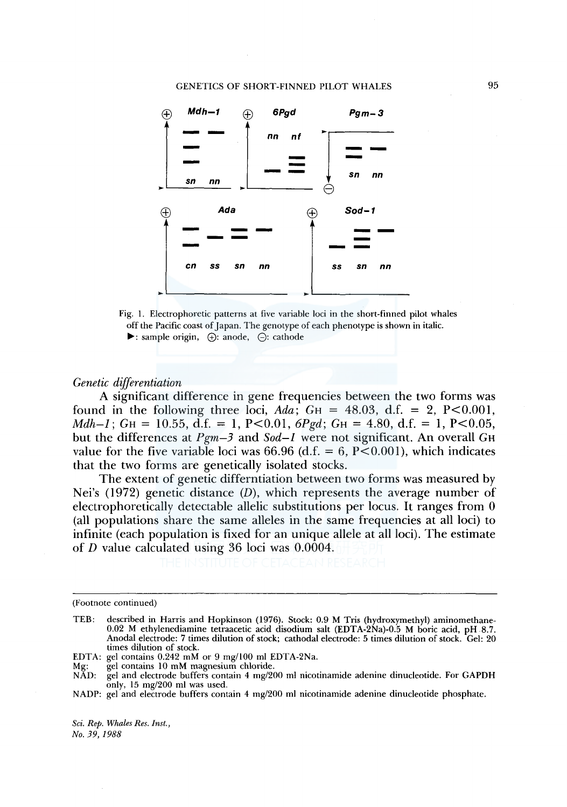#### GENETICS OF SHORT-FINNED PILOT WHALES



Fig. I. Electrophoretic patterns at five variable loci in the short-finned pilot whales off the Pacific coast of Japan. The genotype of each phenotype is shown in italic.  $\blacktriangleright$ : sample origin,  $\varphi$ : anode,  $\varphi$ : cathode

## *Genetic differentiation*

A significant difference in gene frequencies between the two forms was found in the following three loci,  $Ada$ ;  $G<sub>H</sub> = 48.03$ , d.f. = 2, P<0.001, *Mdh* $-1$ ; *G*H = 10.55, d.f. = 1, P<0.01, *6Pgd*; *GH* = 4.80, d.f. = 1, P<0.05, but the differences at  $Pgm-3$  and  $Sod-1$  were not significant. An overall  $GH$ value for the five variable loci was 66.96 (d.f.  $= 6$ , P $\leq$ 0.001), which indicates that the two forms are genetically isolated stocks.

The extent of genetic differntiation between two forms was measured by Nei's  $(1972)$  genetic distance  $(D)$ , which represents the average number of electrophoretically detectable allelic substitutions per locus. It ranges from 0 (all populations share the same alleles in the same frequencies at all loci) to infinite (each population is fixed for an unique allele at all loci). The estimate of D value calculated using 36 loci was 0.0004.

<sup>(</sup>Footnote continued)

TEB: described in Harris and Hopkinson (1976). Stock: 0.9 M Tris (hydroxymethyl) aminomethane-0.02 M ethylenediamine tetraacetic acid disodium salt (EDTA-2Na)-0.5 M boric acid, pH 8.7. Anodal electrode: 7 times dilution of stock; cathodal electrode: 5 times dilution of stock. Gel: 20 times dilution of stock.

EDTA: gel contains 0.242 mM or 9 mg/100 ml EDTA-2Na.

Mg: gel contains 10 mM magnesium chloride.

NAD: gel and electrode buffers contain 4 mg/200 ml nicotinamide adenine dinucleotide. For GAPDH only, 15 mg/200 ml was used.

NADP: gel and electrode buffers contain 4 mg/200 ml nicotinamide adenine dinucleotide phosphate.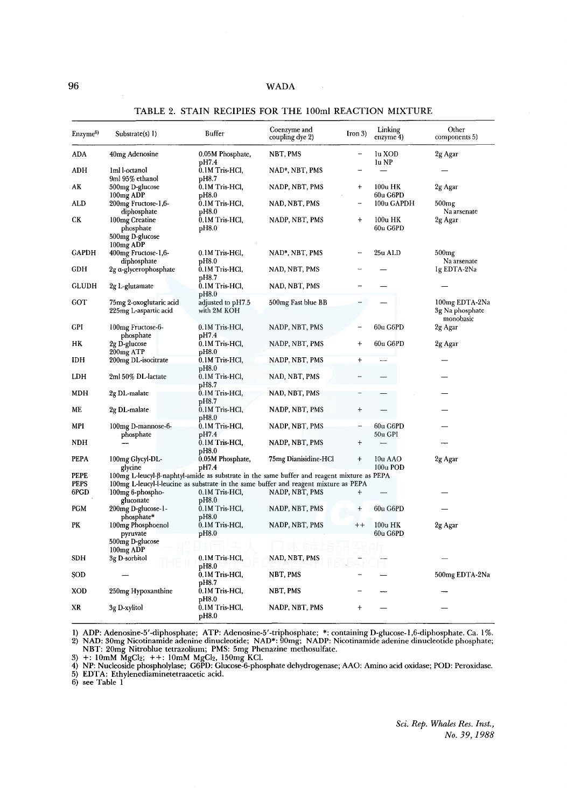| Enzyme <sup>6)</sup> | Substrate(s) 1)                                                         | Buffer                           | Coenzyme and<br>coupling dye 2)                                                            | $Iron 3)$       | Linking<br>enzyme 4)  | Other<br>components 5)                         |
|----------------------|-------------------------------------------------------------------------|----------------------------------|--------------------------------------------------------------------------------------------|-----------------|-----------------------|------------------------------------------------|
| ADA                  | 40 <sub>mg</sub> Adenosine                                              | 0.05M Phosphate,<br>pH7.4        | NBT, PMS                                                                                   | -               | lu XOD<br>lu NP       | 2g Agar                                        |
| <b>ADH</b>           | 1ml l-octanol<br>9ml 95% ethanol                                        | 0.1M Tris-HCl,<br>pH8.7          | NAD*, NBT, PMS                                                                             |                 |                       |                                                |
| AΚ                   | 500mg D-glucose<br>100 <sub>mg</sub> ADP                                | 0.1M Tris-HCl,<br>pH8.0          | NADP, NBT, PMS                                                                             | $\ddag$         | 100u HK<br>60u G6PD   | 2g Agar                                        |
| ALD                  | 200mg Fructose-1,6-<br>diphosphate                                      | 0.1M Tris-HCl,<br>pH8.0          | NAD, NBT, PMS                                                                              | -               | 100u GAPDH            | $500$ mg<br>Na arsenate                        |
| CК                   | 100mg Creatine<br>phosphate<br>500mg D-glucose<br>100 <sub>mg</sub> ADP | 0.1M Tris-HCl,<br>pH8.0          | NADP, NBT, PMS                                                                             | $^{+}$          | 100u HK<br>60u G6PD   | 2g Agar                                        |
| <b>GAPDH</b>         | 400mg Fructose-1,6-<br>diphosphate                                      | $0.1M$ Tris-H $6l$ ,<br>pH8.0    | NAD*, NBT, PMS                                                                             |                 | 25u ALD               | $500$ mg<br>Na arsenate                        |
| <b>GDH</b>           | 2g a-glycerophosphate                                                   | 0.1M Tris-HCl,<br>pH8.7          | NAD, NBT, PMS                                                                              |                 |                       | Ig EDTA-2Na                                    |
| GLUDH                | 2g L-glutamate                                                          | 0.1M Tris-HCl,<br>pH8.0          | NAD, NBT, PMS                                                                              |                 |                       |                                                |
| <b>GOT</b>           | 75mg 2-oxoglutaric acid<br>225mg L-aspartic acid                        | adjusted to pH7.5<br>with 2M KOH | 500mg Fast blue BB                                                                         |                 |                       | 100mg EDTA-2Na<br>3g Na phosphate<br>monobasic |
| GPI                  | 100mg Fructose-6-<br>phosphate                                          | 0.1M Tris-HCl,<br>pH7.4          | NADP, NBT, PMS                                                                             |                 | 60u G6PD              | 2g Agar                                        |
| НK                   | 2g D-glucose<br>200mg ATP                                               | 0.1M Tris-HCl,<br>pH8.0          | NADP, NBT, PMS                                                                             | +               | 60u G6PD              | 2g Agar                                        |
| IDH                  | 200mg DL-isocitrate                                                     | 0.1M Tris-HCl,<br>pH8.0          | NADP, NBT, PMS                                                                             | $\ddot{}$       |                       |                                                |
| LDH                  | 2ml 50% DL-lactate                                                      | 0.1M Tris-HCl,<br>pH8.7          | NAD, NBT, PMS                                                                              |                 |                       |                                                |
| MDH                  | 2g DL-malate                                                            | 0.1M Tris-HCl,<br>pH8.7          | NAD, NBT, PMS                                                                              |                 |                       |                                                |
| MЕ                   | 2g DL-malate                                                            | 0.1M Tris-HCl,<br>pH8.0          | NADP, NBT, PMS                                                                             | $^{+}$          |                       |                                                |
| MPI                  | 100mg D-mannose-6-<br>phosphate                                         | 0.1M Tris-HCl,<br>pH7.4          | NADP, NBT, PMS                                                                             |                 | 60u G6PD<br>50u GPI   |                                                |
| NDH                  |                                                                         | $0.1M$ Tris-HCl,<br>pH8.0        | NADP, NBT, PMS                                                                             | $\, +$          |                       |                                                |
| <b>PEPA</b>          | 100mg Glycyl-DL-<br>glycine                                             | 0.05M Phosphate,<br>pH7.4        | 75mg Dianisidine-HCl                                                                       | $\ddot{}$       | 10u AAO<br>100u POD   | 2g Agar                                        |
| PEPE                 |                                                                         |                                  | 100mg L-leucyl-β-naphtyl-amide as substrate in the same buffer and reagent mixture as PEPA |                 |                       |                                                |
| PEPS                 |                                                                         |                                  | 100mg L-leucyl-l-leucine as substrate in the same buffer and reagent mixture as PEPA       |                 |                       |                                                |
| 6PGD                 | 100mg 6-phospho-<br>gluconate                                           | 0.1M Tris-HCl,<br>pH8.0          | NADP, NBT, PMS                                                                             | $\ddot{}$       |                       |                                                |
| PGM                  | 200mg D-glucose-1-<br>phosphate*                                        | 0.1M Tris-HCl,<br>pH8.0          | NADP, NBT, PMS                                                                             | $^{+}$          | 60u G6PD              |                                                |
| PК                   | 100mg Phosphoenol<br>pyruvate                                           | 0.1M Tris-HCl,<br>pH8.0          | NADP, NBT, PMS                                                                             | $^{\mathrm{+}}$ | $100u$ HK<br>60u G6PD | 2g Agar                                        |
|                      | 500mg D-glucose                                                         |                                  |                                                                                            |                 |                       |                                                |
| <b>SDH</b>           | 100 <sub>mg</sub> ADP<br>3g D-sorbitol                                  | 0.1M Tris-HCl,<br>pH8.0          | NAD, NBT, PMS                                                                              |                 |                       |                                                |
| SOD                  |                                                                         | 0.1M Tris-HCl,                   | NBT, PMS                                                                                   |                 |                       | 500mg EDTA-2Na                                 |
| XOD                  | 250mg Hypoxanthine                                                      | pH8.7<br>0.1M Tris-HCl,<br>pH8.0 | NBT, PMS                                                                                   |                 |                       |                                                |
| XR                   | 3g D-xylitol                                                            | 0.1M Tris-HCl.<br>pH8.0          | NADP, NBT, PMS                                                                             | $\ddot{}$       |                       |                                                |

#### TABLE 2. STAIN RECIPIES FOR THE IOOml REACTION MIXTURE

1) ADP: Adenosine-5'-diphosphate; ATP: Adenosine-5'-triphosphate; \*: containing D-glucose-1,6-diphosphate. Ca. 1%.<br>2) NAD: 30mg Nicotinamide adenine dinucleotide; NAD\*: 90mg; NADP: Nicotinamide adenine dinucleotide phospha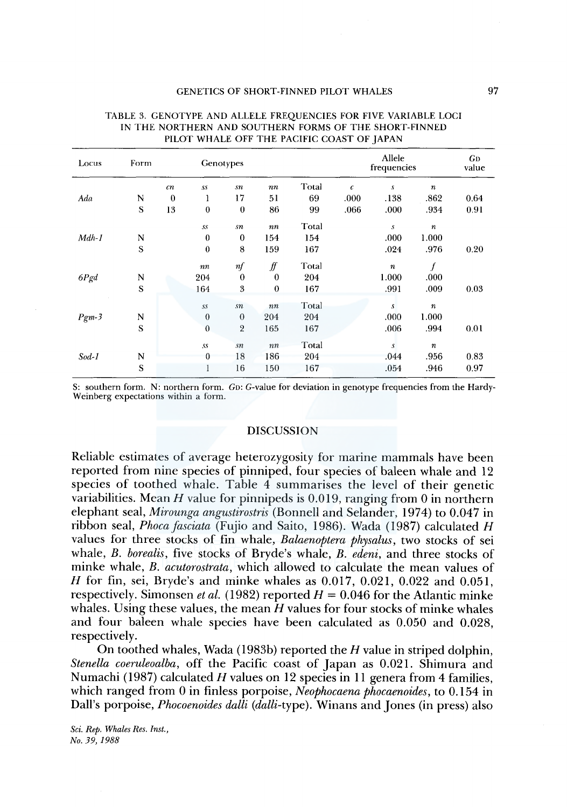| Locus   | Form |                |                  | Genotypes      |                     |       |            | Allele<br>frequencies |                  | <b>GD</b><br>value |
|---------|------|----------------|------------------|----------------|---------------------|-------|------------|-----------------------|------------------|--------------------|
|         |      | cn             | .ss              | sn             | nn                  | Total | $\epsilon$ | s                     | $\boldsymbol{n}$ |                    |
| Ada     | N    | $\overline{0}$ | 1                | 17             | 51                  | 69    | .000       | .138                  | .862             | 0.64               |
|         | S    | 13             | $\boldsymbol{0}$ | $\bf{0}$       | 86                  | 99    | .066       | .000                  | .934             | 0.91               |
|         |      |                | SS               | sn             | $\it nn$            | Total |            | s                     | $\boldsymbol{n}$ |                    |
| $Mdh-1$ | N    |                | $\theta$         | $\bf{0}$       | 154                 | 154   |            | .000                  | 1.000            |                    |
|         | S    |                | $\boldsymbol{0}$ | 8              | 159                 | 167   |            | .024                  | .976             | 0.20               |
|         |      |                | $\it nn$         | nf             | $f\hspace{-0.8mm}f$ | Total |            | $\boldsymbol{n}$      | f                |                    |
| 6Pgd    | N    |                | 204              | $\mathbf{0}$   | $\mathbf{0}$        | 204   |            | 1.000                 | .000             |                    |
|         | S    |                | 164              | 3              | $\mathbf{0}$        | 167   |            | .991                  | .009             | 0.03               |
|         |      |                | S.S              | $\sqrt{s}n$    | nn                  | Total |            | $\mathcal{S}$         | $\it n$          |                    |
| $Pgm-3$ | N    |                | $\theta$         | $\theta$       | 204                 | 204   |            | .000                  | 1.000            |                    |
|         | S    |                | $\mathbf{0}$     | $\overline{2}$ | 165                 | 167   |            | .006                  | .994             | 0.01               |
|         |      |                | $s_{s}$          | $\sqrt{sn}$    | nn                  | Total |            | s                     | $\boldsymbol{n}$ |                    |
| $Sod-1$ | N    |                | 0                | 18             | 186                 | 204   |            | .044                  | .956             | 0.83               |
|         | S    |                | 1                | 16             | 150                 | 167   |            | .054                  | .946             | 0.97               |

#### TABLE 3. GENOTYPE AND ALLELE FREQUENCIES FOR FIVE VARIABLE LOCI IN THE NORTHERN AND SOUTHERN FORMS OF THE SHORT-FINNED PILOT WHALE OFF THE PACIFIC COAST OF JAPAN

S: southern form. N: northern form. Gn: G-value for deviation in genotype frequencies from the Hardy-Weinberg expectations within a form.

## DISCUSSION

Reliable estimates of average heterozygosity for marine mammals have been reported from nine species of pinniped, four species of baleen whale and 12 species of toothed whale. Table  $\overline{4}$  summarises the level of their genetic variabilities. Mean *H* value for pinnipeds is 0.019, ranging from 0 in northern elephant seal, *Mirounga angustirostris* (Bonnell and Selander, 1974) to 0.047 in ribbon seal, *Phoca fasciata* (Fujio and Saito, 1986). Wada (1987) calculated *H*  values for three stocks of fin whale, *Balaenoptera physalus,* two stocks of sei whale, *B. borealis,* five stocks of Bryde's whale, *B. edeni,* and three stocks of minke whale, *B. acutorostrata,* which allowed to calculate the mean values of H for fin, sei, Bryde's and minke whales as 0.017, 0.021, 0.022 and 0.051, respectively. Simonsen *et al.* (1982) reported  $H = 0.046$  for the Atlantic minke whales. Using these values, the mean *H* values for four stocks of minke whales and four baleen whale species have been calculated as 0.050 and 0.028, respectively.

On toothed whales, Wada (1983b) reported the  $H$  value in striped dolphin, *Stenella coeruleoalba,* off the Pacific coast of Japan as 0.021. Shimura and Numachi (1987) calculated *H* values on 12 species in 11 genera from 4 families, which ranged from 0 in finless porpoise, *Neophocaena phocaenoides,* to 0.154 in Dall's porpoise, *Phocoenoides dalli (dalli-type).* Winans and Jones (in press) also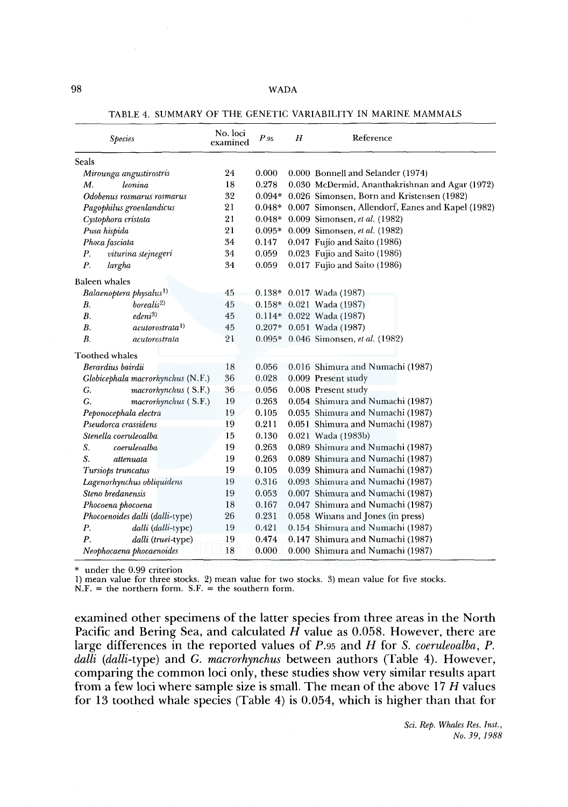| <b>Species</b>                          | No. loci<br>examined | P.95     | H | Reference                                         |
|-----------------------------------------|----------------------|----------|---|---------------------------------------------------|
| Seals                                   |                      |          |   |                                                   |
| Mirounga angustirostris                 | 24                   | 0.000    |   | 0.000 Bonnell and Selander (1974)                 |
| М.<br>leonina                           | 18                   | 0.278    |   | 0.030 McDermid, Ananthakrishnan and Agar (1972)   |
| Odobenus rosmarus rosmarus              | 32                   | $0.094*$ |   | 0.026 Simonsen, Born and Kristensen (1982)        |
| Pagophilus groenlandicus                | 21                   | $0.048*$ |   | 0.007 Simonsen, Allendorf, Eanes and Kapel (1982) |
| Cystophora cristata                     | 21                   | $0.048*$ |   | 0.009 Simonsen, et al. (1982)                     |
| Pusa hispida                            | 21                   | $0.095*$ |   | 0.009 Simonsen, et al. (1982)                     |
| Phoca fasciata                          | 34                   | 0.147    |   | 0.047 Fujio and Saito (1986)                      |
| viturina stejnegeri<br>Р.               | 34                   | 0.059    |   | 0.023 Fujio and Saito (1986)                      |
| P.<br>largha                            | 34                   | 0.059    |   | 0.017 Fujio and Saito (1986)                      |
| <b>Baleen</b> whales                    |                      |          |   |                                                   |
| Balaenoptera physalus <sup>1)</sup>     | 45                   |          |   | $0.138*$ 0.017 Wada (1987)                        |
| borealis <sup>2</sup><br>В.             | 45                   |          |   | $0.158*$ 0.021 Wada (1987)                        |
| edeni <sup>3</sup><br><b>B</b> .        | 45                   |          |   | $0.114*$ 0.022 Wada (1987)                        |
| В.<br><i>acutorostrata</i> <sup>1</sup> | 45                   |          |   | $0.207*$ 0.051 Wada (1987)                        |
| $B$ .<br>acutorostrata                  | 21                   |          |   | 0.095* 0.046 Simonsen, et al. (1982)              |
| Toothed whales                          |                      |          |   |                                                   |
| Berardius bairdii                       | 18                   | 0.056    |   | 0.016 Shimura and Numachi (1987)                  |
| Globicephala macrorhynchus (N.F.)       | 36                   | 0.028    |   | 0.009 Present study                               |
| macrorhynchus (S.F.)<br>G.              | 36                   | 0.056    |   | 0.008 Present study                               |
| G.<br>macrorhynchus (S.F.)              | 19                   | 0.263    |   | 0.054 Shimura and Numachi (1987)                  |
| Peponocephala electra                   | 19                   | 0.105    |   | 0.035 Shimura and Numachi (1987)                  |
| Pseudorca crassidens                    | 19                   | 0.211    |   | 0.051 Shimura and Numachi (1987)                  |
| Stenella coeruleoalba                   | 15                   | 0.130    |   | 0.021 Wada (1983b)                                |
| S.<br>coeruleoalba                      | 19                   | 0.263    |   | 0.089 Shimura and Numachi (1987)                  |
| S.<br>attenuata                         | 19                   | 0.263    |   | 0.089 Shimura and Numachi (1987)                  |
| Tursiops truncatus                      | 19                   | 0.105    |   | 0.039 Shimura and Numachi (1987)                  |
| Lagenorhynchus obliquidens              | 19                   | 0.316    |   | 0.093 Shimura and Numachi (1987)                  |
| Steno bredanensis                       | 19                   | 0.053    |   | 0.007 Shimura and Numachi (1987)                  |
| Phocoena phocoena                       | 18                   | 0.167    |   | 0.047 Shimura and Numachi (1987)                  |
| Phocoenoides dalli (dalli-type)         | 26                   | 0.231    |   | 0.058 Winans and Jones (in press)                 |
| Р.<br>dalli (dalli-type)                | 19                   | 0.421    |   | 0.154 Shimura and Numachi (1987)                  |
| Р.<br>dalli (truei-type)                | 19                   | 0.474    |   | 0.147 Shimura and Numachi (1987)                  |
| Neophocaena phocaenoides                | 18                   | 0.000    |   | 0.000 Shimura and Numachi (1987)                  |

TABLE 4. SUMMARY OF THE GENETIC VARIABILITY IN MARINE MAMMALS

\* under the 0.99 criterion

1) mean value for three stocks. 2) mean value for two stocks. 3) mean value for five stocks.

 $N.F.$  = the northern form. S.F. = the southern form.

examined other specimens of the latter species from three areas in the North Pacific and Bering Sea, and calculated  $H$  value as 0.058. However, there are large differences in the reported values of *P.95* and *H* for *S. coeruleoalba, P. dalli* (dalli-type) and G. *macrorhynchus* between authors (Table 4). However, comparing the common loci only, these studies show very similar results apart from a few loci where sample size is small. The mean of the above 17 H values for 13 toothed whale species (Table 4) is 0.054, which is higher than that for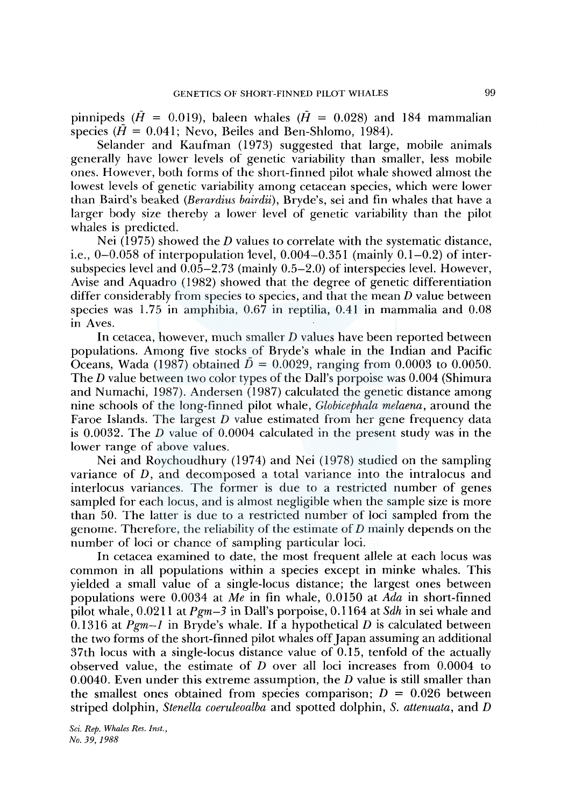pinnipeds ( $\tilde{H} = 0.019$ ), baleen whales ( $\tilde{H} = 0.028$ ) and 184 mammalian species ( $\bar{H} = 0.041$ ; Nevo, Beiles and Ben-Shlomo, 1984).

Selander and Kaufman (1973) suggested that large, mobile animals generally have lower levels of genetic variability than smaller, less mobile ones. However, both forms of the short-finned pilot whale showed almost the lowest levels of genetic variability among cetacean species, which were lower than Baird's beaked *(Berardius bairdii),* Bryde's, sei and fin whales that have a larger body size thereby a lower level of genetic variability than the pilot whales is predicted.

Nei (1975) showed the *D* values to correlate with the systematic distance, i.e.,  $0-0.058$  of interpopulation level,  $0.004-0.351$  (mainly  $0.1-0.2$ ) of intersubspecies level and  $0.05-2.73$  (mainly  $0.5-2.0$ ) of interspecies level. However, Avise and Aquadro ( 1982) showed that the degree of genetic differentiation differ considerably from species to species, and that the mean  $D$  value between species was 1.75 in amphibia, 0.67 in reptilia, 0.41 in mammalia and 0.08 in Aves.

In cetacea, however, much smaller D values have been reported between populations. Among five stocks\_ of Bryde's whale in the Indian and Pacific Oceans, Wada (1987) obtained  $\bar{D} = 0.0029$ , ranging from 0.0003 to 0.0050. The D value between two color types of the Dall's porpoise was 0.004 (Shimura and Numachi, 1987). Andersen (1987) calculated the genetic distance among nine schools of the long-finned pilot whale, *Globicephala melaena,* around the Faroe Islands. The largest D value estimated from her gene frequency data is 0.0032. The D value of 0.0004 calculated in the present study was in the lower range of above values.

Nei and Roychoudhury (1974) and Nei (1978) studied on the sampling variance of  $D$ , and decomposed a total variance into the intralocus and interlocus variances. The former is due to a restricted number of genes sampled for each locus, and is almost negligible when the sample size is more than 50. The latter is due to a restricted number of loci sampled from the genome. Therefore, the reliability of the estimate of D mainly depends on the number of loci or chance of sampling particular loci.

In cetacea examined to date, the most frequent allele at each locus was common in all populations within a species except in minke whales. This yielded a small value of a single-locus distance; the largest ones between populations were 0.0034 at *Me* in fin whale, 0.0150 at *Ada* in short-finned pilot whale, 0.0211 at *Pgm-3* in Dall's porpoise, 0.1164 at *Sdh* in sei whale and 0.1316 at  $Pgm-1$  in Bryde's whale. If a hypothetical  $D$  is calculated between the two forms of the short-finned pilot whales off Japan assuming an additional 37th locus with a single-locus distance value of 0.15, tenfold of the actually observed value, the estimate of D over all loci increases from 0.0004 to 0.0040. Even under this extreme assumption, the *D* value is still smaller than the smallest ones obtained from species comparison;  $D = 0.026$  between striped dolphin, *Stenella coeruleoalba* and spotted dolphin, *S. attenuata,* and *D*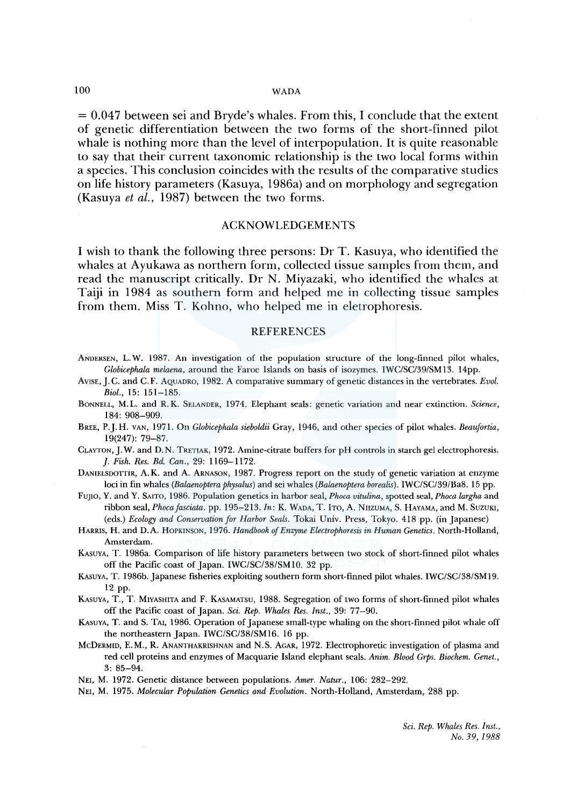#### 100 WADA

 $= 0.047$  between sei and Bryde's whales. From this, I conclude that the extent of genetic differentiation between the two forms of the short-finned pilot whale is nothing more than the level of interpopulation. It is quite reasonable to say that their current taxonomic relationship is the two local forms within a species. This conclusion coincides with the results of the comparative studies on life history parameters (Kasuya, l 986a) and on morphology and segregation (Kasuya *et al.,* 1987) between the two forms.

## ACKNOWLEDGEMENTS

I wish to thank the following three persons: Dr T. Kasuya, who identified the whales at Ayukawa as northern form, collected tissue samples from them, and read the manuscript critically. Dr N. Miyazaki, who identified the whales at Taiji in 1984 as southern form and helped me in collecting tissue samples from them. Miss T. Kohno, who helped me in eletrophoresis.

#### **REFERENCES**

- ANDERSEN, L. W. 1987. An investigation of the population structure of the long-finned pilot whales, *Globicephala melaena,* around the Faroe Islands on basis of isozymes. IWC/SC/39/SM13. 14pp.
- Avise, J.C. and C.F. AQUADRO, 1982. A comparative summary of genetic distances in the vertebrates. *Evol. Biol.,* 15: 151-185.
- BONNELL, M.L. and R.K. SELANDER, 1974. Elephant seals: genetic variation and near extinction. *Science,*  184: 908-909.
- BREE, P.J.H. VAN, 1971. On *Globicephala sieboldii* Gray, 1946, and other species of pilot whales. *Beaufortia,*  19(247): 79-87.
- CLAYTON,]. W. and D. N. TRETIAK, 1972. Amine-citrate buffers for pH controls in starch gel electrophoresis. *]. Fish. Res. Bd. Can.,* 29: 1169-1172.
- DANIELSDOTTIR, A. K. and A. ARNASON, 1987. Progress report on the study of genetic variation at enzyme loci in fin whales *(Balaenoptera physalus)* and sei whales *(Balaenoptera borealis).* IWC/SC/39/Ba8. 15 pp.
- FUJIO, Y. and Y. SAITO, 1986. Population genetics in harbor seal, *Phoca vitulina,* spotted seal, *Phoca largha* and ribbon seal, *Phocafasciata.* pp. 195-213. *Jn:* K. WADA, T. lTo, A. NnzvMA, S. HAYAMA, and M. SUZUKI, (eds.) *Ecology and Conservation for Harbor Seals.* Tokai Univ. Press, Tokyo. 418 pp. (in Japanese)
- HARRIS, H. and D.A. HOPKINSON, 1976. *Handbook of Enzyme Electrophoresis in Human Genetics.* North-Holland, Amsterdam.
- KASUYA, T. 1986a. Comparison of life history parameters between two stock of short-finned pilot whales off the Pacific coast of Japan. IWC/SC/38/SMIO. 32 pp.
- KAsuYA, T. 1986b. Japanese fisheries exploiting southern form short-finned pilot whales. IWC/SC/38/SM19. 12 PP·
- KASUYA, T., T. MIYASHITA and F. KASAMATSU, 1988. Segregation of two forms of short-finned pilot whales off the Pacific coast of Japan. *Sci. Rep. Whales Res. Inst.,* 39: 77-90.
- KASUYA, T. and S. TAI, 1986. Operation of Japanese small-type whaling on the short-finned pilot whale off the northeastern Japan. IWC/SC/38/SM16. 16 pp.
- McDERMID, E.M., R. ANANTHAKRISHNAN and N.S. AGAR, 1972. Electrophoretic investigation of plasma and red cell proteins and enzymes of Macquarie Island elephant seals. *Anim. Blood Grps. Biochem. Genet.,*  3: 85-94.
- NEI, M. 1972. Genetic distance between populations. *Amer. Natur.,* 106: 282-292.
- NEI, M. 1975. *Molecular Population Genetics and Evolution.* North-Holland, Amsterdam, 288 pp.